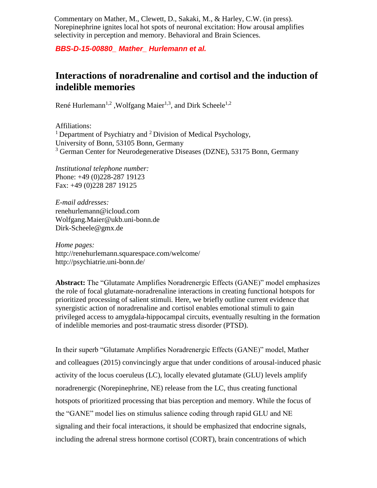Commentary on Mather, M., Clewett, D., Sakaki, M., & Harley, C.W. (in press). Norepinephrine ignites local hot spots of neuronal excitation: How arousal amplifies selectivity in perception and memory. Behavioral and Brain Sciences.

*BBS-D-15-00880\_ Mather\_ Hurlemann et al.*

## **Interactions of noradrenaline and cortisol and the induction of indelible memories**

René Hurlemann<sup>1,2</sup>, Wolfgang Maier<sup>1,3</sup>, and Dirk Scheele<sup>1,2</sup>

Affiliations: <sup>1</sup> Department of Psychiatry and <sup>2</sup> Division of Medical Psychology, University of Bonn, 53105 Bonn, Germany <sup>3</sup> German Center for Neurodegenerative Diseases (DZNE), 53175 Bonn, Germany

*Institutional telephone number:*  Phone: +49 (0)228-287 19123 Fax: +49 (0)228 287 19125

*E-mail addresses:*  renehurlemann@icloud.com Wolfgang.Maier@ukb.uni-bonn.de Dirk-Scheele@gmx.de

*Home pages:* http://renehurlemann.squarespace.com/welcome/ http://psychiatrie.uni-bonn.de/

**Abstract:** The "Glutamate Amplifies Noradrenergic Effects (GANE)" model emphasizes the role of focal glutamate-noradrenaline interactions in creating functional hotspots for prioritized processing of salient stimuli. Here, we briefly outline current evidence that synergistic action of noradrenaline and cortisol enables emotional stimuli to gain privileged access to amygdala-hippocampal circuits, eventually resulting in the formation of indelible memories and post-traumatic stress disorder (PTSD).

In their superb "Glutamate Amplifies Noradrenergic Effects (GANE)" model, Mather and colleagues (2015) convincingly argue that under conditions of arousal-induced phasic activity of the locus coeruleus (LC), locally elevated glutamate (GLU) levels amplify noradrenergic (Norepinephrine, NE) release from the LC, thus creating functional hotspots of prioritized processing that bias perception and memory. While the focus of the "GANE" model lies on stimulus salience coding through rapid GLU and NE signaling and their focal interactions, it should be emphasized that endocrine signals, including the adrenal stress hormone cortisol (CORT), brain concentrations of which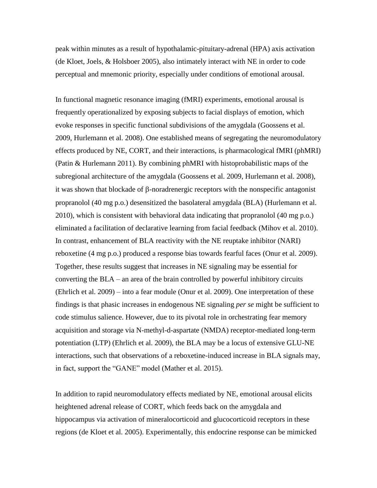peak within minutes as a result of hypothalamic-pituitary-adrenal (HPA) axis activation (de Kloet, Joels, & Holsboer 2005), also intimately interact with NE in order to code perceptual and mnemonic priority, especially under conditions of emotional arousal.

In functional magnetic resonance imaging (fMRI) experiments, emotional arousal is frequently operationalized by exposing subjects to facial displays of emotion, which evoke responses in specific functional subdivisions of the amygdala (Goossens et al. 2009, Hurlemann et al. 2008). One established means of segregating the neuromodulatory effects produced by NE, CORT, and their interactions, is pharmacological fMRI (phMRI) (Patin & Hurlemann 2011). By combining phMRI with histoprobabilistic maps of the subregional architecture of the amygdala (Goossens et al. 2009, Hurlemann et al. 2008), it was shown that blockade of  $\beta$ -noradrenergic receptors with the nonspecific antagonist propranolol (40 mg p.o.) desensitized the basolateral amygdala (BLA) (Hurlemann et al. 2010), which is consistent with behavioral data indicating that propranolol (40 mg p.o.) eliminated a facilitation of declarative learning from facial feedback (Mihov et al. 2010). In contrast, enhancement of BLA reactivity with the NE reuptake inhibitor (NARI) reboxetine (4 mg p.o.) produced a response bias towards fearful faces (Onur et al. 2009). Together, these results suggest that increases in NE signaling may be essential for converting the BLA – an area of the brain controlled by powerful inhibitory circuits (Ehrlich et al. 2009) – into a fear module (Onur et al. 2009). One interpretation of these findings is that phasic increases in endogenous NE signaling *per se* might be sufficient to code stimulus salience. However, due to its pivotal role in orchestrating fear memory acquisition and storage via N-methyl-d-aspartate (NMDA) receptor-mediated long-term potentiation (LTP) (Ehrlich et al. 2009), the BLA may be a locus of extensive GLU-NE interactions, such that observations of a reboxetine-induced increase in BLA signals may, in fact, support the "GANE" model (Mather et al. 2015).

In addition to rapid neuromodulatory effects mediated by NE, emotional arousal elicits heightened adrenal release of CORT, which feeds back on the amygdala and hippocampus via activation of mineralocorticoid and glucocorticoid receptors in these regions (de Kloet et al. 2005). Experimentally, this endocrine response can be mimicked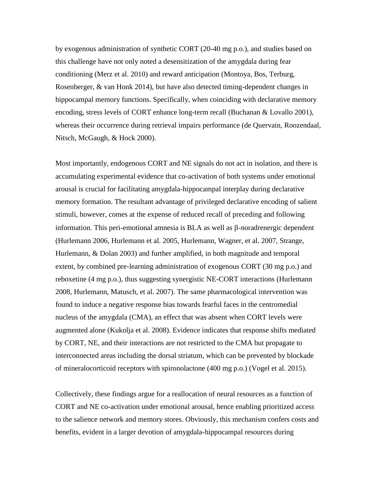by exogenous administration of synthetic CORT (20-40 mg p.o.), and studies based on this challenge have not only noted a desensitization of the amygdala during fear conditioning (Merz et al. 2010) and reward anticipation (Montoya, Bos, Terburg, Rosenberger, & van Honk 2014), but have also detected timing-dependent changes in hippocampal memory functions. Specifically, when coinciding with declarative memory encoding, stress levels of CORT enhance long-term recall (Buchanan & Lovallo 2001), whereas their occurrence during retrieval impairs performance (de Quervain, Roozendaal, Nitsch, McGaugh, & Hock 2000).

Most importantly, endogenous CORT and NE signals do not act in isolation, and there is accumulating experimental evidence that co-activation of both systems under emotional arousal is crucial for facilitating amygdala-hippocampal interplay during declarative memory formation. The resultant advantage of privileged declarative encoding of salient stimuli, however, comes at the expense of reduced recall of preceding and following information. This peri-emotional amnesia is  $BLA$  as well as  $\beta$ -noradrenergic dependent (Hurlemann 2006, Hurlemann et al. 2005, Hurlemann, Wagner, et al. 2007, Strange, Hurlemann, & Dolan 2003) and further amplified, in both magnitude and temporal extent, by combined pre-learning administration of exogenous CORT (30 mg p.o.) and reboxetine (4 mg p.o.), thus suggesting synergistic NE-CORT interactions (Hurlemann 2008, Hurlemann, Matusch, et al. 2007). The same pharmacological intervention was found to induce a negative response bias towards fearful faces in the centromedial nucleus of the amygdala (CMA), an effect that was absent when CORT levels were augmented alone (Kukolja et al. 2008). Evidence indicates that response shifts mediated by CORT, NE, and their interactions are not restricted to the CMA but propagate to interconnected areas including the dorsal striatum, which can be prevented by blockade of mineralocorticoid receptors with spironolactone (400 mg p.o.) (Vogel et al. 2015).

Collectively, these findings argue for a reallocation of neural resources as a function of CORT and NE co-activation under emotional arousal, hence enabling prioritized access to the salience network and memory stores. Obviously, this mechanism confers costs and benefits, evident in a larger devotion of amygdala-hippocampal resources during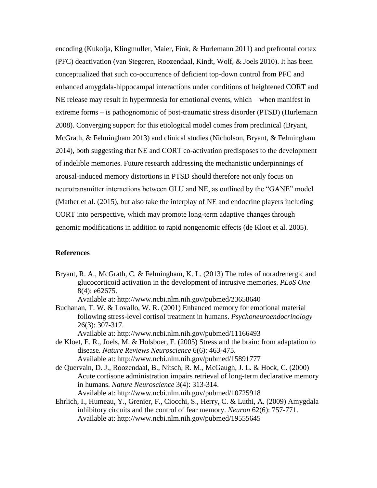encoding (Kukolja, Klingmuller, Maier, Fink, & Hurlemann 2011) and prefrontal cortex (PFC) deactivation (van Stegeren, Roozendaal, Kindt, Wolf, & Joels 2010). It has been conceptualized that such co-occurrence of deficient top-down control from PFC and enhanced amygdala-hippocampal interactions under conditions of heightened CORT and NE release may result in hypermnesia for emotional events, which – when manifest in extreme forms – is pathognomonic of post-traumatic stress disorder (PTSD) (Hurlemann 2008). Converging support for this etiological model comes from preclinical (Bryant, McGrath, & Felmingham 2013) and clinical studies (Nicholson, Bryant, & Felmingham 2014), both suggesting that NE and CORT co-activation predisposes to the development of indelible memories. Future research addressing the mechanistic underpinnings of arousal-induced memory distortions in PTSD should therefore not only focus on neurotransmitter interactions between GLU and NE, as outlined by the "GANE" model (Mather et al. (2015), but also take the interplay of NE and endocrine players including CORT into perspective, which may promote long-term adaptive changes through genomic modifications in addition to rapid nongenomic effects (de Kloet et al. 2005).

## **References**

Bryant, R. A., McGrath, C. & Felmingham, K. L. (2013) The roles of noradrenergic and glucocorticoid activation in the development of intrusive memories. *PLoS One*  8(4): e62675.

Available at: http://www.ncbi.nlm.nih.gov/pubmed/23658640

Buchanan, T. W. & Lovallo, W. R. (2001) Enhanced memory for emotional material following stress-level cortisol treatment in humans. *Psychoneuroendocrinology*  26(3): 307-317.

Available at: http://www.ncbi.nlm.nih.gov/pubmed/11166493

- de Kloet, E. R., Joels, M. & Holsboer, F. (2005) Stress and the brain: from adaptation to disease. *Nature Reviews Neuroscience* 6(6): 463-475. Available at: http://www.ncbi.nlm.nih.gov/pubmed/15891777
- de Quervain, D. J., Roozendaal, B., Nitsch, R. M., McGaugh, J. L. & Hock, C. (2000) Acute cortisone administration impairs retrieval of long-term declarative memory in humans. *Nature Neuroscience* 3(4): 313-314. Available at: http://www.ncbi.nlm.nih.gov/pubmed/10725918
- Ehrlich, I., Humeau, Y., Grenier, F., Ciocchi, S., Herry, C. & Luthi, A. (2009) Amygdala inhibitory circuits and the control of fear memory. *Neuron* 62(6): 757-771. Available at: http://www.ncbi.nlm.nih.gov/pubmed/19555645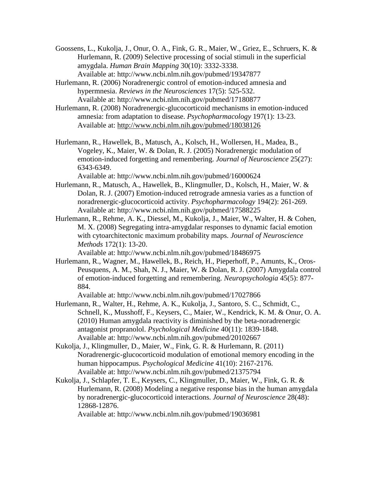- Goossens, L., Kukolja, J., Onur, O. A., Fink, G. R., Maier, W., Griez, E., Schruers, K. & Hurlemann, R. (2009) Selective processing of social stimuli in the superficial amygdala. *Human Brain Mapping* 30(10): 3332-3338. Available at: http://www.ncbi.nlm.nih.gov/pubmed/19347877
- Hurlemann, R. (2006) Noradrenergic control of emotion-induced amnesia and hypermnesia. *Reviews in the Neurosciences* 17(5): 525-532. Available at: http://www.ncbi.nlm.nih.gov/pubmed/17180877
- Hurlemann, R. (2008) Noradrenergic-glucocorticoid mechanisms in emotion-induced amnesia: from adaptation to disease. *Psychopharmacology* 197(1): 13-23. Available at:<http://www.ncbi.nlm.nih.gov/pubmed/18038126>
- Hurlemann, R., Hawellek, B., Matusch, A., Kolsch, H., Wollersen, H., Madea, B., Vogeley, K., Maier, W. & Dolan, R. J. (2005) Noradrenergic modulation of emotion-induced forgetting and remembering. *Journal of Neuroscience* 25(27): 6343-6349.

Available at: http://www.ncbi.nlm.nih.gov/pubmed/16000624

- Hurlemann, R., Matusch, A., Hawellek, B., Klingmuller, D., Kolsch, H., Maier, W. & Dolan, R. J. (2007) Emotion-induced retrograde amnesia varies as a function of noradrenergic-glucocorticoid activity. *Psychopharmacology* 194(2): 261-269. Available at: http://www.ncbi.nlm.nih.gov/pubmed/17588225
- Hurlemann, R., Rehme, A. K., Diessel, M., Kukolja, J., Maier, W., Walter, H. & Cohen, M. X. (2008) Segregating intra-amygdalar responses to dynamic facial emotion with cytoarchitectonic maximum probability maps. *Journal of Neuroscience Methods* 172(1): 13-20.

Available at: http://www.ncbi.nlm.nih.gov/pubmed/18486975

Hurlemann, R., Wagner, M., Hawellek, B., Reich, H., Pieperhoff, P., Amunts, K., Oros-Peusquens, A. M., Shah, N. J., Maier, W. & Dolan, R. J. (2007) Amygdala control of emotion-induced forgetting and remembering. *Neuropsychologia* 45(5): 877- 884.

Available at: http://www.ncbi.nlm.nih.gov/pubmed/17027866

- Hurlemann, R., Walter, H., Rehme, A. K., Kukolja, J., Santoro, S. C., Schmidt, C., Schnell, K., Musshoff, F., Keysers, C., Maier, W., Kendrick, K. M. & Onur, O. A. (2010) Human amygdala reactivity is diminished by the beta-noradrenergic antagonist propranolol. *Psychological Medicine* 40(11): 1839-1848. Available at: http://www.ncbi.nlm.nih.gov/pubmed/20102667
- Kukolja, J., Klingmuller, D., Maier, W., Fink, G. R. & Hurlemann, R. (2011) Noradrenergic-glucocorticoid modulation of emotional memory encoding in the human hippocampus. *Psychological Medicine* 41(10): 2167-2176. Available at: http://www.ncbi.nlm.nih.gov/pubmed/21375794
- Kukolja, J., Schlapfer, T. E., Keysers, C., Klingmuller, D., Maier, W., Fink, G. R. & Hurlemann, R. (2008) Modeling a negative response bias in the human amygdala by noradrenergic-glucocorticoid interactions. *Journal of Neuroscience* 28(48): 12868-12876.

Available at: http://www.ncbi.nlm.nih.gov/pubmed/19036981